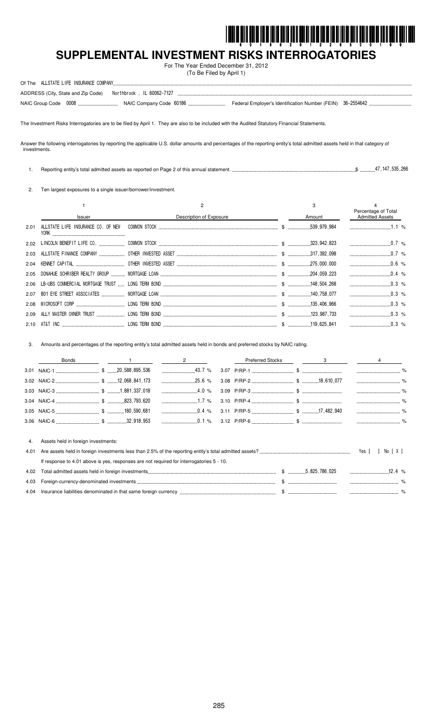

# SUPPLEMENTAL INVESTMENT RISKS INTERROGATORIES

For The Year Ended December 31, 2012 (To Be Filed by April 1)

| Of The ALLSTATE LIFE INSURANCE COMPANY                           |                                                            |
|------------------------------------------------------------------|------------------------------------------------------------|
| ADDRESS (City, State and Zip Code)    Northbrook , IL 60062-7127 |                                                            |
| NAIC Group Code 0008                                             | Federal Employer's Identification Number (FEIN) 36-2554642 |

The Investment Risks Interrogatories are to be filed by April 1. They are also to be included with the Audited Statutory Financial Statements.

Answer the following interrogatories by reporting the applicable U.S. dollar amounts and percentages of the reporting entity's total admitted assets held in that category of investments.

 $$$ ..............47, 147, 535, 266 1. Reporting entity's total admitted assets as reported on Page 2 of this annual statement.

2. Ten largest exposures to a single issuer/borrower/investment.

|      |               |                         | 3                             | Percentage of Total    |  |
|------|---------------|-------------------------|-------------------------------|------------------------|--|
|      | Issuer        | Description of Exposure | Amount                        | <b>Admitted Assets</b> |  |
| 2.01 |               |                         |                               | 1.1 $%$                |  |
| 2.02 |               |                         |                               | $0.7\%$                |  |
| 2.03 |               |                         |                               |                        |  |
| 2.04 |               |                         |                               | $0.6\%$                |  |
| 2.05 |               |                         |                               |                        |  |
|      |               |                         |                               |                        |  |
|      |               |                         |                               | $\ldots$ 0.3 %         |  |
|      |               |                         |                               | $0.3\%$                |  |
| 2.09 |               |                         |                               | $0.3\%$                |  |
|      | 2.10 AT&T INC | LONG TERM BOND          | $\frac{119}{258}$ 119 625 841 | $0.3\%$                |  |

3. Amounts and percentages of the reporting entity's total admitted assets held in bonds and preferred stocks by NAIC rating.

|      | <b>Bonds</b>                                                                             | 2        | <b>Preferred Stocks</b> |  |       |          |
|------|------------------------------------------------------------------------------------------|----------|-------------------------|--|-------|----------|
|      |                                                                                          |          |                         |  |       |          |
|      |                                                                                          | $25.6\%$ |                         |  |       |          |
|      |                                                                                          | $4.0\%$  |                         |  |       |          |
|      |                                                                                          |          |                         |  |       |          |
|      |                                                                                          |          |                         |  |       |          |
|      |                                                                                          |          |                         |  |       |          |
|      |                                                                                          |          |                         |  |       |          |
| 4.   | Assets held in foreign investments:                                                      |          |                         |  |       |          |
| 4.01 |                                                                                          |          |                         |  | Yes [ | No [X]   |
|      | If response to 4.01 above is yes, responses are not required for interrogatories 5 - 10. |          |                         |  |       |          |
| 4.02 |                                                                                          |          |                         |  |       | 12.4 $%$ |
| 4.03 |                                                                                          |          |                         |  |       |          |

| 4.04 | ∴ denominateo<br>عمىنىڭ<br>Insura.<br>' in that<br>reign Currency –<br>same<br>' TOrell |  |  |
|------|-----------------------------------------------------------------------------------------|--|--|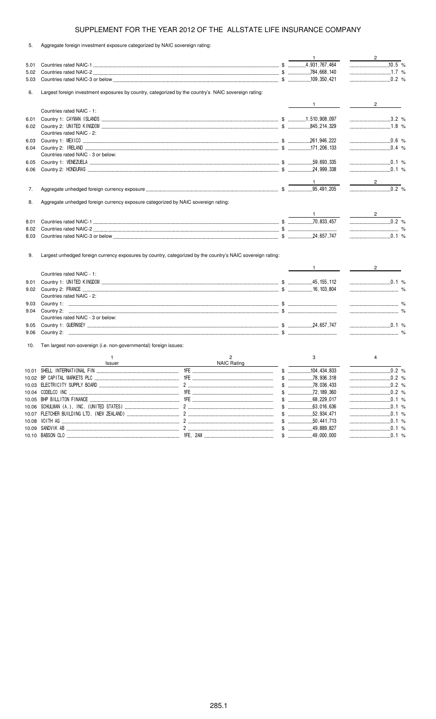5. Aggregate foreign investment exposure categorized by NAIC sovereign rating:

|      |                                                                                                      |                |       | $\mathbf{1}$              | $\sim$ 2                       |
|------|------------------------------------------------------------------------------------------------------|----------------|-------|---------------------------|--------------------------------|
| 5.01 |                                                                                                      |                |       |                           | $10.5$ %                       |
| 5.02 |                                                                                                      |                |       |                           | $1.7\%$                        |
| 5.03 |                                                                                                      |                |       |                           | $\ldots$ 0.2 %                 |
| 6.   | Largest foreign investment exposures by country, categorized by the country's NAIC sovereign rating: |                |       |                           |                                |
|      |                                                                                                      |                |       |                           |                                |
|      | Countries rated NAIC - 1:                                                                            |                |       | $1$ and $\sim$            | $2 \left( \frac{1}{2} \right)$ |
|      |                                                                                                      |                |       |                           | $3.2\%$                        |
| 6.01 |                                                                                                      |                |       |                           | $1.8\%$                        |
| 6.02 | Countries rated NAIC - 2:                                                                            |                |       |                           |                                |
| 6.03 |                                                                                                      |                |       |                           |                                |
| 6.04 |                                                                                                      |                |       |                           | $\ldots$ 0.4 %                 |
|      | Countries rated NAIC - 3 or below:                                                                   |                |       |                           |                                |
| 6.05 |                                                                                                      |                |       |                           | $\ldots$ 0.1 %                 |
| 6.06 |                                                                                                      |                |       |                           | $\ldots$ 0.1 %                 |
|      |                                                                                                      |                |       |                           |                                |
|      |                                                                                                      |                |       |                           | $\frac{2}{\sqrt{2}}$           |
| 7.   |                                                                                                      |                |       |                           |                                |
| 8.   | Aggregate unhedged foreign currency exposure categorized by NAIC sovereign rating:                   |                |       |                           |                                |
|      |                                                                                                      |                |       |                           |                                |
| 8.01 |                                                                                                      |                |       |                           |                                |
| 8.02 |                                                                                                      |                |       |                           |                                |
| 8.03 |                                                                                                      |                |       |                           | $0.1\%$                        |
|      |                                                                                                      |                |       | $1 \qquad \qquad$         | $2^{\circ}$                    |
|      | Countries rated NAIC - 1:                                                                            |                |       |                           |                                |
| 9.01 |                                                                                                      |                |       |                           | $\ldots$ 0.1 %                 |
| 9.02 |                                                                                                      |                |       |                           |                                |
|      | Countries rated NAIC - 2:                                                                            |                |       |                           |                                |
| 9.03 |                                                                                                      |                |       |                           |                                |
| 9.04 |                                                                                                      |                |       |                           |                                |
|      | Countries rated NAIC - 3 or below:                                                                   |                |       |                           |                                |
| 9.05 |                                                                                                      |                |       |                           | $\ldots$ 0.1 %                 |
| 9.06 |                                                                                                      |                |       |                           |                                |
| 10.  | Ten largest non-sovereign (i.e. non-governmental) foreign issues:                                    |                |       |                           |                                |
|      | $\mathbf{1}$                                                                                         | $\overline{c}$ |       | 3                         | $\overline{4}$                 |
|      | Issuer                                                                                               | NAIC Rating    |       | .104, 434, 833            | 0.2%                           |
|      |                                                                                                      |                |       |                           |                                |
|      |                                                                                                      |                | $\$\$ | .78,936,318<br>$\uparrow$ | .0.2%<br>.0.2%                 |
|      |                                                                                                      |                |       | .78,036,433               |                                |
|      | 10.05 BHP BILLITON FINANCE                                                                           |                |       |                           |                                |
|      |                                                                                                      |                |       | 63,016,636                | .0.1%                          |
|      |                                                                                                      |                |       |                           |                                |
|      |                                                                                                      |                |       |                           |                                |
|      |                                                                                                      |                |       |                           |                                |
|      |                                                                                                      |                |       |                           | 0.1 %                          |
|      |                                                                                                      |                |       |                           |                                |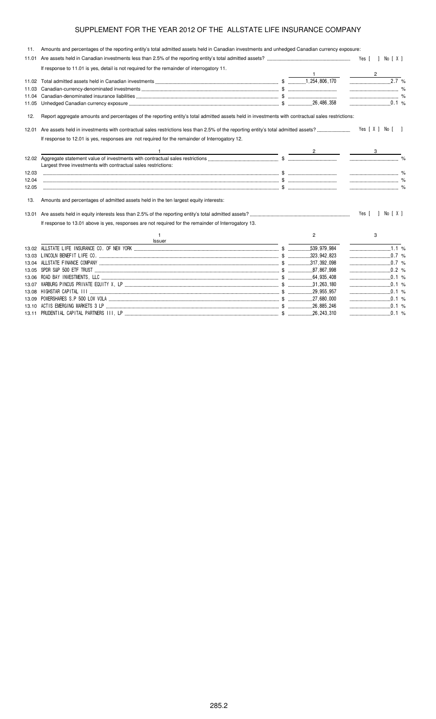| 11.   | Amounts and percentages of the reporting entity's total admitted assets held in Canadian investments and unhedged Canadian currency exposure:     |                |                     |
|-------|---------------------------------------------------------------------------------------------------------------------------------------------------|----------------|---------------------|
| 11.01 |                                                                                                                                                   |                |                     |
|       | If response to 11.01 is yes, detail is not required for the remainder of interrogatory 11.                                                        |                | $\overline{2}$      |
|       |                                                                                                                                                   |                | $2.\overline{7}$ %  |
|       |                                                                                                                                                   |                |                     |
|       |                                                                                                                                                   |                |                     |
| 11.05 |                                                                                                                                                   |                | $\ldots$ 0.1 %      |
| 12.   | Report aggregate amounts and percentages of the reporting entity's total admitted assets held in investments with contractual sales restrictions: |                |                     |
| 12.01 |                                                                                                                                                   |                | Yes [ X ] No [ ]    |
|       | If response to 12.01 is yes, responses are not required for the remainder of Interrogatory 12.                                                    |                |                     |
|       | $\frac{2}{2}$ $\frac{3}{2}$                                                                                                                       |                |                     |
|       | Largest three investments with contractual sales restrictions:                                                                                    |                |                     |
| 12.03 |                                                                                                                                                   |                |                     |
| 12.04 |                                                                                                                                                   |                |                     |
| 12.05 |                                                                                                                                                   |                |                     |
| 13.   | Amounts and percentages of admitted assets held in the ten largest equity interests:                                                              |                |                     |
|       |                                                                                                                                                   |                | Yes [ ] No [ X ]    |
|       | If response to 13.01 above is yes, responses are not required for the remainder of Interrogatory 13.                                              |                |                     |
|       | -1<br>Issuer                                                                                                                                      | $\overline{2}$ | 3                   |
|       |                                                                                                                                                   |                | $\frac{1}{1.1}$ %   |
|       |                                                                                                                                                   |                | $\ldots$ 0.7 %      |
|       |                                                                                                                                                   |                | $\frac{1}{2}$ 0.7 % |
|       |                                                                                                                                                   |                | 0.2 %               |
|       |                                                                                                                                                   |                |                     |
| 13.07 |                                                                                                                                                   |                |                     |
|       |                                                                                                                                                   |                |                     |
| 13.09 |                                                                                                                                                   |                | $\ldots$ 0.1 %      |
| 13.10 |                                                                                                                                                   |                |                     |
|       |                                                                                                                                                   |                |                     |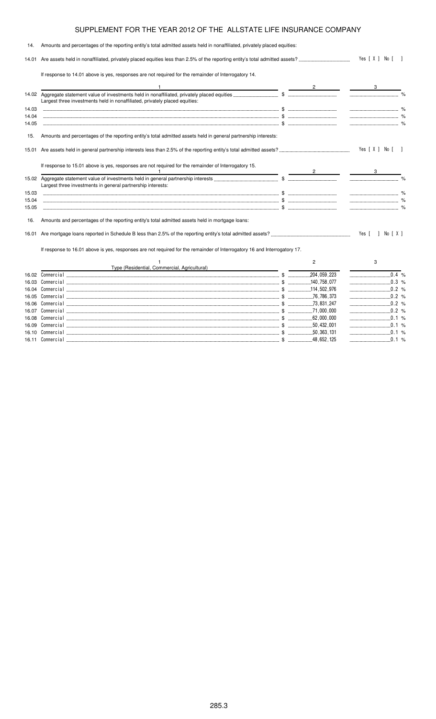| 14.   | Amounts and percentages of the reporting entity's total admitted assets held in nonaffiliated, privately placed equities: |                |                    |  |
|-------|---------------------------------------------------------------------------------------------------------------------------|----------------|--------------------|--|
|       |                                                                                                                           |                | Yes $[X]$ No $[$ ] |  |
|       | If response to 14.01 above is yes, responses are not required for the remainder of Interrogatory 14.                      |                |                    |  |
|       |                                                                                                                           |                |                    |  |
|       | Largest three investments held in nonaffiliated, privately placed equities:                                               |                |                    |  |
| 14.03 |                                                                                                                           |                |                    |  |
| 14.04 |                                                                                                                           |                |                    |  |
| 14.05 |                                                                                                                           |                |                    |  |
| 15.   | Amounts and percentages of the reporting entity's total admitted assets held in general partnership interests:            |                |                    |  |
|       |                                                                                                                           |                | Yes [ X ] No [ ]   |  |
|       | If response to 15.01 above is yes, responses are not required for the remainder of Interrogatory 15.                      |                |                    |  |
|       | Largest three investments in general partnership interests:                                                               |                |                    |  |
| 15.03 |                                                                                                                           |                |                    |  |
| 15.04 |                                                                                                                           |                |                    |  |
| 15.05 |                                                                                                                           |                |                    |  |
| 16.   | Amounts and percentages of the reporting entity's total admitted assets held in mortgage loans:                           |                |                    |  |
| 16.01 |                                                                                                                           |                | Yes [ ] No [ X ]   |  |
|       | If response to 16.01 above is yes, responses are not required for the remainder of Interrogatory 16 and Interrogatory 17. |                |                    |  |
|       |                                                                                                                           | $\overline{2}$ | 3                  |  |
|       | Type (Residential, Commercial, Agricultural)                                                                              |                |                    |  |
| 16.02 |                                                                                                                           |                | $\ldots$ 0.4 %     |  |
| 16.03 |                                                                                                                           |                |                    |  |
|       |                                                                                                                           |                |                    |  |
| 16.05 |                                                                                                                           |                |                    |  |
| 16.06 |                                                                                                                           |                |                    |  |
|       |                                                                                                                           |                | $\ldots$ 0.2 %     |  |
|       |                                                                                                                           |                | 0.1 %              |  |

 \$ %

 \$ %

 \$ %

16.09 Comme

16.10 Comme

16.11 Comme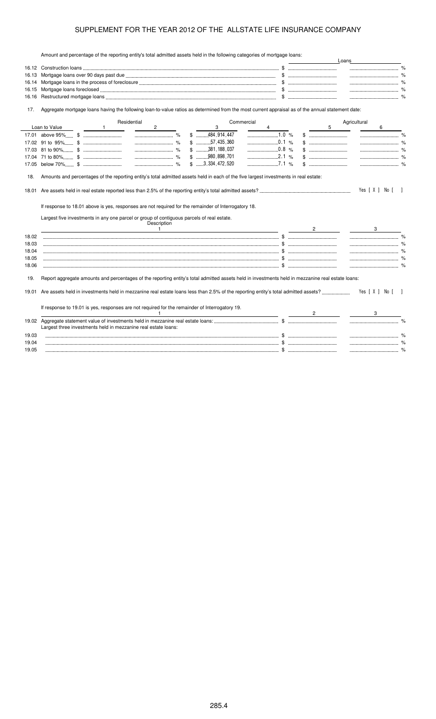Amount and percentage of the reporting entity's total admitted assets held in the following categories of mortgage loans:

|              | Amount and percentage of the reporting entity's total admitted assets held in the following categories of mongage loans.                                                                          |                                | Loans            |
|--------------|---------------------------------------------------------------------------------------------------------------------------------------------------------------------------------------------------|--------------------------------|------------------|
|              |                                                                                                                                                                                                   |                                |                  |
| 16.13        |                                                                                                                                                                                                   |                                |                  |
| 16.14        |                                                                                                                                                                                                   |                                |                  |
| 16.15        |                                                                                                                                                                                                   |                                |                  |
| 16.16        |                                                                                                                                                                                                   |                                |                  |
| 17.          | Aggregate mortgage loans having the following loan-to-value ratios as determined from the most current appraisal as of the annual statement date:                                                 |                                |                  |
|              | Residential<br>Commercial                                                                                                                                                                         |                                | Agricultural     |
|              | Loan to Value<br>$\mathbf{2}$<br>3<br>$\mathbf{1}$                                                                                                                                                |                                | 5<br>6           |
|              | $$$ 484, 914, 447                                                                                                                                                                                 |                                |                  |
|              | $\ldots$ 0.1 %<br>$\sim$ $\sim$ $\sim$ $\sim$ $\sim$<br>$$$ 57,435,360                                                                                                                            |                                |                  |
|              | $$$ 381, 188, 037<br>0.8 %<br>$\ldots$ %                                                                                                                                                          |                                |                  |
|              | $$$ 980,898,701                                                                                                                                                                                   |                                |                  |
|              | $$ \dots 3,334,472,520$                                                                                                                                                                           |                                |                  |
| 18.<br>18.01 | Amounts and percentages of the reporting entity's total admitted assets held in each of the five largest investments in real estate:                                                              |                                | Yes [ X ] No [ ] |
|              | If response to 18.01 above is yes, responses are not required for the remainder of Interrogatory 18.<br>Largest five investments in any one parcel or group of contiguous parcels of real estate. |                                |                  |
|              | Description<br>$\overline{1}$                                                                                                                                                                     | $2 \left( \frac{1}{2} \right)$ | 3                |
| 18.02        |                                                                                                                                                                                                   |                                |                  |
|              |                                                                                                                                                                                                   |                                |                  |
| 18.03        |                                                                                                                                                                                                   |                                |                  |
| 18.04        |                                                                                                                                                                                                   |                                |                  |
| 18.05        |                                                                                                                                                                                                   |                                |                  |
| 18.06        | where the contribution of the contribution of $\mathfrak s$ . The contribution of $\mathfrak s$ , we can contribute the contribution of $\mathfrak s$                                             |                                | $\%$             |
| 19.          | Report aggregate amounts and percentages of the reporting entity's total admitted assets held in investments held in mezzanine real estate loans:                                                 |                                |                  |
| 19.01        |                                                                                                                                                                                                   |                                | Yes [ X ] No [ ] |
|              | If response to 19.01 is yes, responses are not required for the remainder of Interrogatory 19.                                                                                                    |                                |                  |
|              | Largest three investments held in mezzanine real estate loans:                                                                                                                                    |                                |                  |
| 19.03        |                                                                                                                                                                                                   |                                |                  |
| 19.04        |                                                                                                                                                                                                   |                                |                  |
| 19.05        |                                                                                                                                                                                                   |                                |                  |
|              |                                                                                                                                                                                                   |                                |                  |